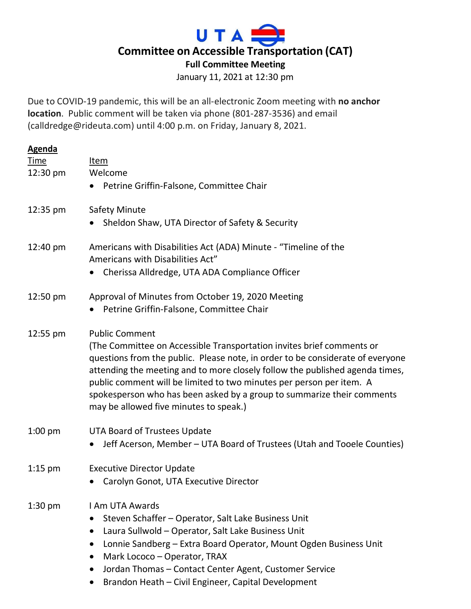

January 11, 2021 at 12:30 pm

Due to COVID-19 pandemic, this will be an all-electronic Zoom meeting with **no anchor location**. Public comment will be taken via phone (801-287-3536) and email (calldredge@rideuta.com) until 4:00 p.m. on Friday, January 8, 2021.

| <b>Agenda</b> |                                                                                |
|---------------|--------------------------------------------------------------------------------|
| <b>Time</b>   | Item                                                                           |
| 12:30 pm      | Welcome                                                                        |
|               | Petrine Griffin-Falsone, Committee Chair                                       |
| 12:35 pm      | <b>Safety Minute</b>                                                           |
|               | Sheldon Shaw, UTA Director of Safety & Security                                |
| 12:40 pm      | Americans with Disabilities Act (ADA) Minute - "Timeline of the                |
|               | Americans with Disabilities Act"                                               |
|               | Cherissa Alldredge, UTA ADA Compliance Officer                                 |
| 12:50 pm      | Approval of Minutes from October 19, 2020 Meeting                              |
|               | Petrine Griffin-Falsone, Committee Chair                                       |
| 12:55 pm      | <b>Public Comment</b>                                                          |
|               | (The Committee on Accessible Transportation invites brief comments or          |
|               | questions from the public. Please note, in order to be considerate of everyone |
|               | attending the meeting and to more closely follow the published agenda times,   |
|               | public comment will be limited to two minutes per person per item. A           |
|               | spokesperson who has been asked by a group to summarize their comments         |
|               | may be allowed five minutes to speak.)                                         |
| $1:00$ pm     | <b>UTA Board of Trustees Update</b>                                            |
|               | Jeff Acerson, Member – UTA Board of Trustees (Utah and Tooele Counties)        |
| $1:15$ pm     | <b>Executive Director Update</b>                                               |
|               | Carolyn Gonot, UTA Executive Director                                          |
|               |                                                                                |
| $1:30$ pm     | I Am UTA Awards                                                                |
|               | Steven Schaffer - Operator, Salt Lake Business Unit                            |
|               | Laura Sullwold - Operator, Salt Lake Business Unit<br>$\bullet$                |
|               | Lonnie Sandberg - Extra Board Operator, Mount Ogden Business Unit<br>$\bullet$ |
|               | Mark Lococo - Operator, TRAX<br>$\bullet$                                      |
|               | Jordan Thomas - Contact Center Agent, Customer Service<br>$\bullet$            |
|               | Brandon Heath - Civil Engineer, Capital Development<br>$\bullet$               |